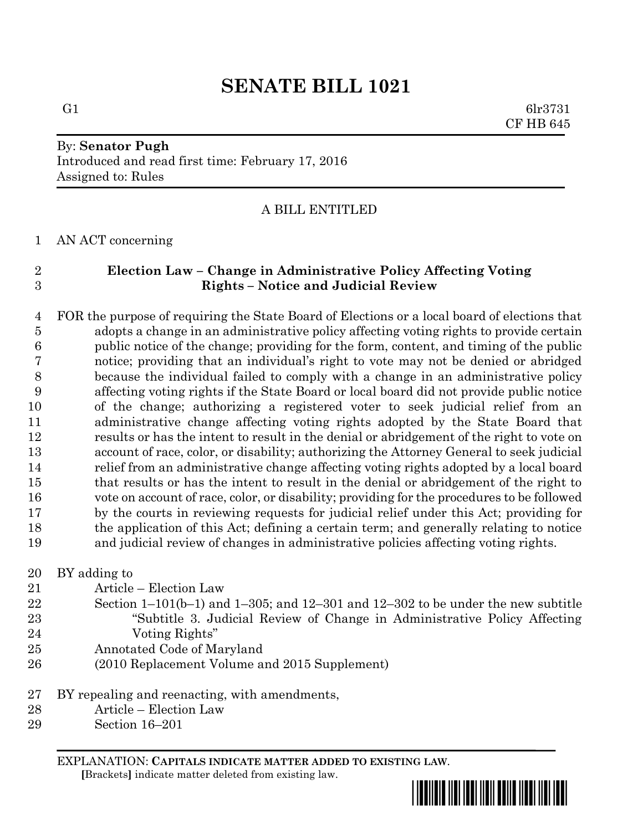## **SENATE BILL 1021**

G1 6lr3731 CF HB 645

# By: **Senator Pugh**

Introduced and read first time: February 17, 2016 Assigned to: Rules

### A BILL ENTITLED

AN ACT concerning

### **Election Law – Change in Administrative Policy Affecting Voting Rights – Notice and Judicial Review**

 FOR the purpose of requiring the State Board of Elections or a local board of elections that adopts a change in an administrative policy affecting voting rights to provide certain public notice of the change; providing for the form, content, and timing of the public notice; providing that an individual's right to vote may not be denied or abridged because the individual failed to comply with a change in an administrative policy affecting voting rights if the State Board or local board did not provide public notice of the change; authorizing a registered voter to seek judicial relief from an administrative change affecting voting rights adopted by the State Board that results or has the intent to result in the denial or abridgement of the right to vote on account of race, color, or disability; authorizing the Attorney General to seek judicial relief from an administrative change affecting voting rights adopted by a local board that results or has the intent to result in the denial or abridgement of the right to vote on account of race, color, or disability; providing for the procedures to be followed by the courts in reviewing requests for judicial relief under this Act; providing for the application of this Act; defining a certain term; and generally relating to notice and judicial review of changes in administrative policies affecting voting rights.

BY adding to

- Article Election Law
- Section 1–101(b–1) and 1–305; and 12–301 and 12–302 to be under the new subtitle "Subtitle 3. Judicial Review of Change in Administrative Policy Affecting Voting Rights"
- Annotated Code of Maryland
- (2010 Replacement Volume and 2015 Supplement)
- BY repealing and reenacting, with amendments,
- Article Election Law
- Section 16–201

EXPLANATION: **CAPITALS INDICATE MATTER ADDED TO EXISTING LAW**.  **[**Brackets**]** indicate matter deleted from existing law.

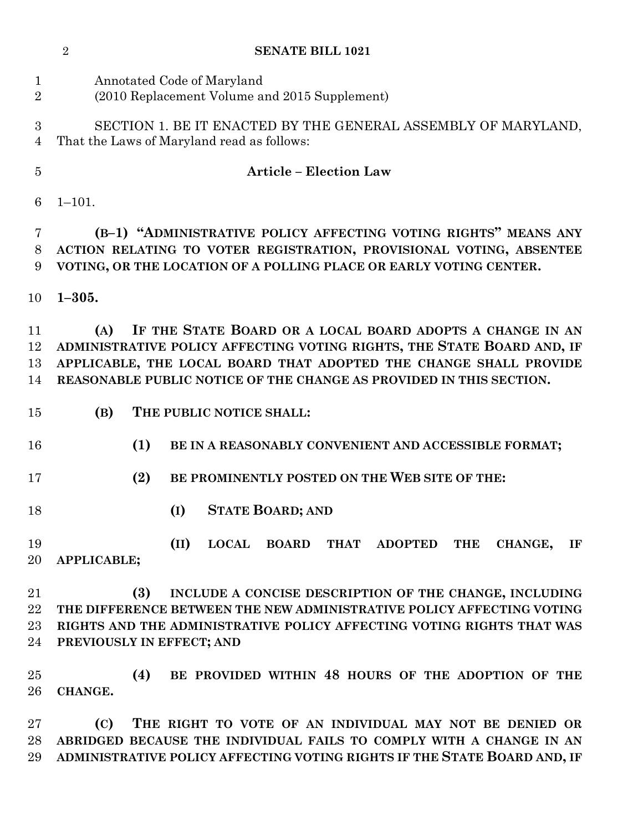|                               | $\overline{2}$<br><b>SENATE BILL 1021</b>                                                                                                                                                                                                                                              |
|-------------------------------|----------------------------------------------------------------------------------------------------------------------------------------------------------------------------------------------------------------------------------------------------------------------------------------|
| $\mathbf 1$<br>$\overline{2}$ | Annotated Code of Maryland<br>(2010 Replacement Volume and 2015 Supplement)                                                                                                                                                                                                            |
| 3<br>4                        | SECTION 1. BE IT ENACTED BY THE GENERAL ASSEMBLY OF MARYLAND,<br>That the Laws of Maryland read as follows:                                                                                                                                                                            |
| $\overline{5}$                | <b>Article - Election Law</b>                                                                                                                                                                                                                                                          |
| 6                             | $1 - 101.$                                                                                                                                                                                                                                                                             |
| 7<br>8<br>9                   | (B-1) "ADMINISTRATIVE POLICY AFFECTING VOTING RIGHTS" MEANS ANY<br>ACTION RELATING TO VOTER REGISTRATION, PROVISIONAL VOTING, ABSENTEE<br>VOTING, OR THE LOCATION OF A POLLING PLACE OR EARLY VOTING CENTER.                                                                           |
| 10                            | $1 - 305.$                                                                                                                                                                                                                                                                             |
| 11<br>12<br>13<br>14          | IF THE STATE BOARD OR A LOCAL BOARD ADOPTS A CHANGE IN AN<br>(A)<br>ADMINISTRATIVE POLICY AFFECTING VOTING RIGHTS, THE STATE BOARD AND, IF<br>APPLICABLE, THE LOCAL BOARD THAT ADOPTED THE CHANGE SHALL PROVIDE<br>REASONABLE PUBLIC NOTICE OF THE CHANGE AS PROVIDED IN THIS SECTION. |
| 15                            | (B)<br>THE PUBLIC NOTICE SHALL:                                                                                                                                                                                                                                                        |
| 16                            | (1)<br>BE IN A REASONABLY CONVENIENT AND ACCESSIBLE FORMAT;                                                                                                                                                                                                                            |
| 17                            | BE PROMINENTLY POSTED ON THE WEB SITE OF THE:<br>(2)                                                                                                                                                                                                                                   |
| 18                            | (I)<br><b>STATE BOARD; AND</b>                                                                                                                                                                                                                                                         |
| 19<br>20                      | (II)<br>LOCAL BOARD THAT ADOPTED<br><b>THE</b><br>CHANGE,<br>IF<br>APPLICABLE;                                                                                                                                                                                                         |
| 21<br>22<br>23<br>24          | (3)<br>INCLUDE A CONCISE DESCRIPTION OF THE CHANGE, INCLUDING<br>THE DIFFERENCE BETWEEN THE NEW ADMINISTRATIVE POLICY AFFECTING VOTING<br>RIGHTS AND THE ADMINISTRATIVE POLICY AFFECTING VOTING RIGHTS THAT WAS<br>PREVIOUSLY IN EFFECT; AND                                           |
| 25<br>26                      | (4)<br>BE PROVIDED WITHIN 48 HOURS OF THE ADOPTION OF THE<br>CHANGE.                                                                                                                                                                                                                   |
| $\rm 27$<br>28<br>29          | THE RIGHT TO VOTE OF AN INDIVIDUAL MAY NOT BE DENIED OR<br>(C)<br>ABRIDGED BECAUSE THE INDIVIDUAL FAILS TO COMPLY WITH A CHANGE IN AN<br>ADMINISTRATIVE POLICY AFFECTING VOTING RIGHTS IF THE STATE BOARD AND, IF                                                                      |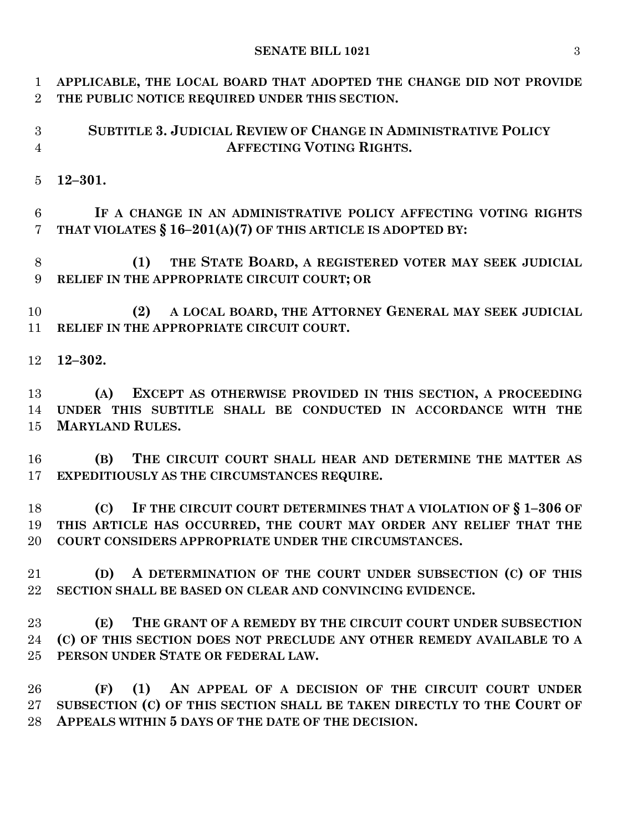### **SENATE BILL 1021** 3

 **APPLICABLE, THE LOCAL BOARD THAT ADOPTED THE CHANGE DID NOT PROVIDE THE PUBLIC NOTICE REQUIRED UNDER THIS SECTION. SUBTITLE 3. JUDICIAL REVIEW OF CHANGE IN ADMINISTRATIVE POLICY AFFECTING VOTING RIGHTS. 12–301. IF A CHANGE IN AN ADMINISTRATIVE POLICY AFFECTING VOTING RIGHTS THAT VIOLATES § 16–201(A)(7) OF THIS ARTICLE IS ADOPTED BY: (1) THE STATE BOARD, A REGISTERED VOTER MAY SEEK JUDICIAL RELIEF IN THE APPROPRIATE CIRCUIT COURT; OR (2) A LOCAL BOARD, THE ATTORNEY GENERAL MAY SEEK JUDICIAL RELIEF IN THE APPROPRIATE CIRCUIT COURT. 12–302. (A) EXCEPT AS OTHERWISE PROVIDED IN THIS SECTION, A PROCEEDING UNDER THIS SUBTITLE SHALL BE CONDUCTED IN ACCORDANCE WITH THE MARYLAND RULES. (B) THE CIRCUIT COURT SHALL HEAR AND DETERMINE THE MATTER AS EXPEDITIOUSLY AS THE CIRCUMSTANCES REQUIRE. (C) IF THE CIRCUIT COURT DETERMINES THAT A VIOLATION OF § 1–306 OF THIS ARTICLE HAS OCCURRED, THE COURT MAY ORDER ANY RELIEF THAT THE COURT CONSIDERS APPROPRIATE UNDER THE CIRCUMSTANCES. (D) A DETERMINATION OF THE COURT UNDER SUBSECTION (C) OF THIS SECTION SHALL BE BASED ON CLEAR AND CONVINCING EVIDENCE. (E) THE GRANT OF A REMEDY BY THE CIRCUIT COURT UNDER SUBSECTION (C) OF THIS SECTION DOES NOT PRECLUDE ANY OTHER REMEDY AVAILABLE TO A PERSON UNDER STATE OR FEDERAL LAW. (F) (1) AN APPEAL OF A DECISION OF THE CIRCUIT COURT UNDER SUBSECTION (C) OF THIS SECTION SHALL BE TAKEN DIRECTLY TO THE COURT OF** 

**APPEALS WITHIN 5 DAYS OF THE DATE OF THE DECISION.**